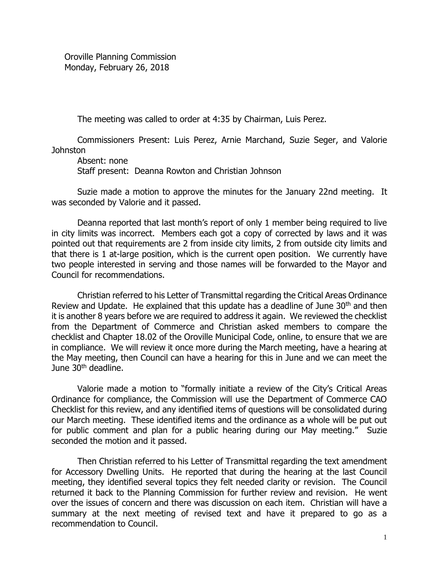Oroville Planning Commission Monday, February 26, 2018

The meeting was called to order at 4:35 by Chairman, Luis Perez.

Commissioners Present: Luis Perez, Arnie Marchand, Suzie Seger, and Valorie Johnston

Absent: none

Staff present: Deanna Rowton and Christian Johnson

 Suzie made a motion to approve the minutes for the January 22nd meeting. It was seconded by Valorie and it passed.

Deanna reported that last month's report of only 1 member being required to live in city limits was incorrect. Members each got a copy of corrected by laws and it was pointed out that requirements are 2 from inside city limits, 2 from outside city limits and that there is 1 at-large position, which is the current open position. We currently have two people interested in serving and those names will be forwarded to the Mayor and Council for recommendations.

Christian referred to his Letter of Transmittal regarding the Critical Areas Ordinance Review and Update. He explained that this update has a deadline of June  $30<sup>th</sup>$  and then it is another 8 years before we are required to address it again. We reviewed the checklist from the Department of Commerce and Christian asked members to compare the checklist and Chapter 18.02 of the Oroville Municipal Code, online, to ensure that we are in compliance. We will review it once more during the March meeting, have a hearing at the May meeting, then Council can have a hearing for this in June and we can meet the June  $30<sup>th</sup>$  deadline.

Valorie made a motion to "formally initiate a review of the City's Critical Areas Ordinance for compliance, the Commission will use the Department of Commerce CAO Checklist for this review, and any identified items of questions will be consolidated during our March meeting. These identified items and the ordinance as a whole will be put out for public comment and plan for a public hearing during our May meeting." Suzie seconded the motion and it passed.

Then Christian referred to his Letter of Transmittal regarding the text amendment for Accessory Dwelling Units. He reported that during the hearing at the last Council meeting, they identified several topics they felt needed clarity or revision. The Council returned it back to the Planning Commission for further review and revision. He went over the issues of concern and there was discussion on each item. Christian will have a summary at the next meeting of revised text and have it prepared to go as a recommendation to Council.